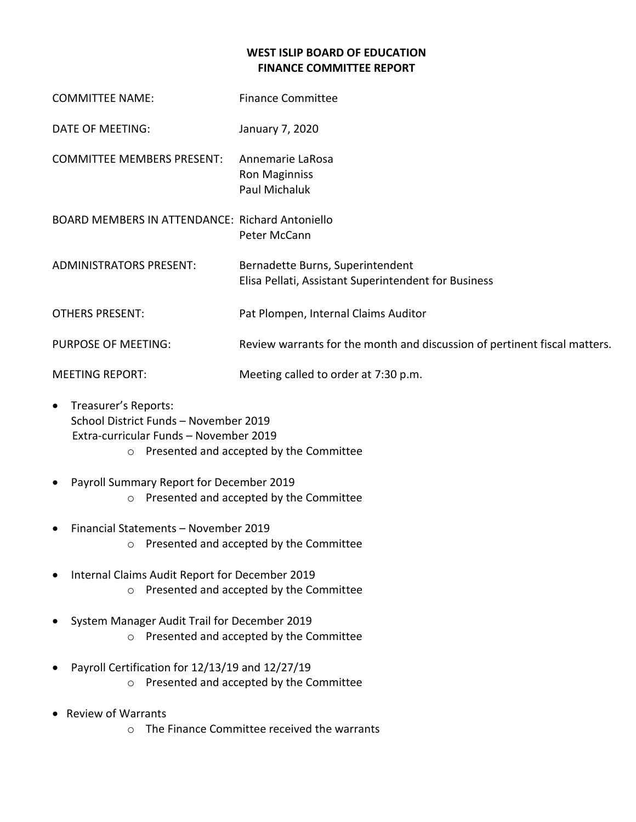## **WEST ISLIP BOARD OF EDUCATION FINANCE COMMITTEE REPORT**

| <b>COMMITTEE NAME:</b>                                 | <b>Finance Committee</b>                                                                 |
|--------------------------------------------------------|------------------------------------------------------------------------------------------|
| DATE OF MEETING:                                       | January 7, 2020                                                                          |
| <b>COMMITTEE MEMBERS PRESENT:</b>                      | Annemarie LaRosa<br>Ron Maginniss<br>Paul Michaluk                                       |
| <b>BOARD MEMBERS IN ATTENDANCE: Richard Antoniello</b> | Peter McCann                                                                             |
| <b>ADMINISTRATORS PRESENT:</b>                         | Bernadette Burns, Superintendent<br>Elisa Pellati, Assistant Superintendent for Business |
| <b>OTHERS PRESENT:</b>                                 | Pat Plompen, Internal Claims Auditor                                                     |
| <b>PURPOSE OF MEETING:</b>                             | Review warrants for the month and discussion of pertinent fiscal matters.                |
| <b>MEETING REPORT:</b>                                 | Meeting called to order at 7:30 p.m.                                                     |

- Treasurer's Reports: School District Funds – November 2019 Extra-curricular Funds – November 2019 o Presented and accepted by the Committee
- Payroll Summary Report for December 2019 o Presented and accepted by the Committee
- Financial Statements November 2019 o Presented and accepted by the Committee
- Internal Claims Audit Report for December 2019 o Presented and accepted by the Committee
- System Manager Audit Trail for December 2019 o Presented and accepted by the Committee
- Payroll Certification for 12/13/19 and 12/27/19 o Presented and accepted by the Committee
- Review of Warrants
	- o The Finance Committee received the warrants